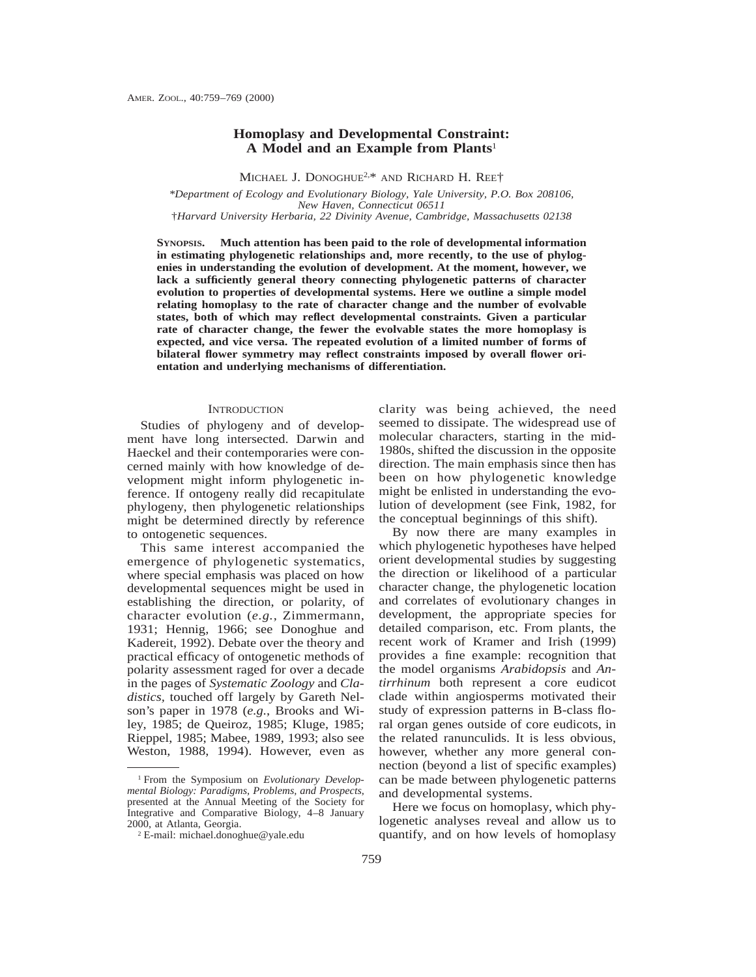# **Homoplasy and Developmental Constraint: A Model and an Example from Plants**<sup>1</sup>

MICHAEL J. DONOGHUE2,\* AND RICHARD H. REE†

*\*Department of Ecology and Evolutionary Biology, Yale University, P.O. Box 208106, New Haven, Connecticut 06511* †*Harvard University Herbaria, 22 Divinity Avenue, Cambridge, Massachusetts 02138*

**SYNOPSIS. Much attention has been paid to the role of developmental information in estimating phylogenetic relationships and, more recently, to the use of phylogenies in understanding the evolution of development. At the moment, however, we lack a sufficiently general theory connecting phylogenetic patterns of character evolution to properties of developmental systems. Here we outline a simple model relating homoplasy to the rate of character change and the number of evolvable states, both of which may reflect developmental constraints. Given a particular rate of character change, the fewer the evolvable states the more homoplasy is expected, and vice versa. The repeated evolution of a limited number of forms of bilateral flower symmetry may reflect constraints imposed by overall flower orientation and underlying mechanisms of differentiation.**

#### **INTRODUCTION**

Studies of phylogeny and of development have long intersected. Darwin and Haeckel and their contemporaries were concerned mainly with how knowledge of development might inform phylogenetic inference. If ontogeny really did recapitulate phylogeny, then phylogenetic relationships might be determined directly by reference to ontogenetic sequences.

This same interest accompanied the emergence of phylogenetic systematics, where special emphasis was placed on how developmental sequences might be used in establishing the direction, or polarity, of character evolution (*e.g.*, Zimmermann, 1931; Hennig, 1966; see Donoghue and Kadereit, 1992). Debate over the theory and practical efficacy of ontogenetic methods of polarity assessment raged for over a decade in the pages of *Systematic Zoology* and *Cladistics,* touched off largely by Gareth Nelson's paper in 1978 (*e.g.*, Brooks and Wiley, 1985; de Queiroz, 1985; Kluge, 1985; Rieppel, 1985; Mabee, 1989, 1993; also see Weston, 1988, 1994). However, even as

clarity was being achieved, the need seemed to dissipate. The widespread use of molecular characters, starting in the mid-1980s, shifted the discussion in the opposite direction. The main emphasis since then has been on how phylogenetic knowledge might be enlisted in understanding the evolution of development (see Fink, 1982, for the conceptual beginnings of this shift).

By now there are many examples in which phylogenetic hypotheses have helped orient developmental studies by suggesting the direction or likelihood of a particular character change, the phylogenetic location and correlates of evolutionary changes in development, the appropriate species for detailed comparison, etc. From plants, the recent work of Kramer and Irish (1999) provides a fine example: recognition that the model organisms *Arabidopsis* and *Antirrhinum* both represent a core eudicot clade within angiosperms motivated their study of expression patterns in B-class floral organ genes outside of core eudicots, in the related ranunculids. It is less obvious, however, whether any more general connection (beyond a list of specific examples) can be made between phylogenetic patterns and developmental systems.

Here we focus on homoplasy, which phylogenetic analyses reveal and allow us to quantify, and on how levels of homoplasy

<sup>1</sup> From the Symposium on *Evolutionary Developmental Biology: Paradigms, Problems, and Prospects*, presented at the Annual Meeting of the Society for Integrative and Comparative Biology, 4–8 January 2000, at Atlanta, Georgia.

<sup>2</sup> E-mail: michael.donoghue@yale.edu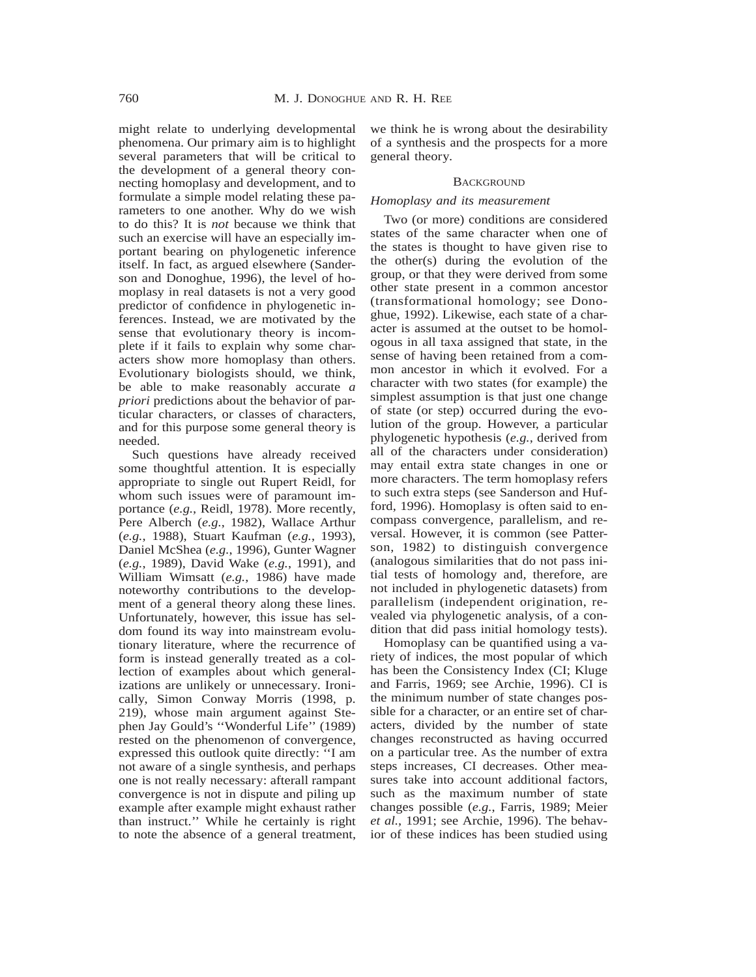might relate to underlying developmental phenomena. Our primary aim is to highlight several parameters that will be critical to the development of a general theory connecting homoplasy and development, and to formulate a simple model relating these parameters to one another. Why do we wish to do this? It is *not* because we think that such an exercise will have an especially important bearing on phylogenetic inference itself. In fact, as argued elsewhere (Sanderson and Donoghue, 1996), the level of homoplasy in real datasets is not a very good predictor of confidence in phylogenetic inferences. Instead, we are motivated by the sense that evolutionary theory is incomplete if it fails to explain why some characters show more homoplasy than others. Evolutionary biologists should, we think, be able to make reasonably accurate *a priori* predictions about the behavior of particular characters, or classes of characters, and for this purpose some general theory is needed.

Such questions have already received some thoughtful attention. It is especially appropriate to single out Rupert Reidl, for whom such issues were of paramount importance (*e.g.*, Reidl, 1978). More recently, Pere Alberch (*e.g.*, 1982), Wallace Arthur (*e.g.*, 1988), Stuart Kaufman (*e.g.*, 1993), Daniel McShea (*e.g.*, 1996), Gunter Wagner (*e.g.*, 1989), David Wake (*e.g.*, 1991), and William Wimsatt (*e.g.*, 1986) have made noteworthy contributions to the development of a general theory along these lines. Unfortunately, however, this issue has seldom found its way into mainstream evolutionary literature, where the recurrence of form is instead generally treated as a collection of examples about which generalizations are unlikely or unnecessary. Ironically, Simon Conway Morris (1998, p. 219), whose main argument against Stephen Jay Gould's ''Wonderful Life'' (1989) rested on the phenomenon of convergence, expressed this outlook quite directly: ''I am not aware of a single synthesis, and perhaps one is not really necessary: afterall rampant convergence is not in dispute and piling up example after example might exhaust rather than instruct.'' While he certainly is right to note the absence of a general treatment, we think he is wrong about the desirability of a synthesis and the prospects for a more general theory.

## **BACKGROUND**

## *Homoplasy and its measurement*

Two (or more) conditions are considered states of the same character when one of the states is thought to have given rise to the other(s) during the evolution of the group, or that they were derived from some other state present in a common ancestor (transformational homology; see Donoghue, 1992). Likewise, each state of a character is assumed at the outset to be homologous in all taxa assigned that state, in the sense of having been retained from a common ancestor in which it evolved. For a character with two states (for example) the simplest assumption is that just one change of state (or step) occurred during the evolution of the group. However, a particular phylogenetic hypothesis (*e.g.*, derived from all of the characters under consideration) may entail extra state changes in one or more characters. The term homoplasy refers to such extra steps (see Sanderson and Hufford, 1996). Homoplasy is often said to encompass convergence, parallelism, and reversal. However, it is common (see Patterson, 1982) to distinguish convergence (analogous similarities that do not pass initial tests of homology and, therefore, are not included in phylogenetic datasets) from parallelism (independent origination, revealed via phylogenetic analysis, of a condition that did pass initial homology tests).

Homoplasy can be quantified using a variety of indices, the most popular of which has been the Consistency Index (CI; Kluge and Farris, 1969; see Archie, 1996). CI is the minimum number of state changes possible for a character, or an entire set of characters, divided by the number of state changes reconstructed as having occurred on a particular tree. As the number of extra steps increases, CI decreases. Other measures take into account additional factors, such as the maximum number of state changes possible (*e.g.*, Farris, 1989; Meier *et al.*, 1991; see Archie, 1996). The behavior of these indices has been studied using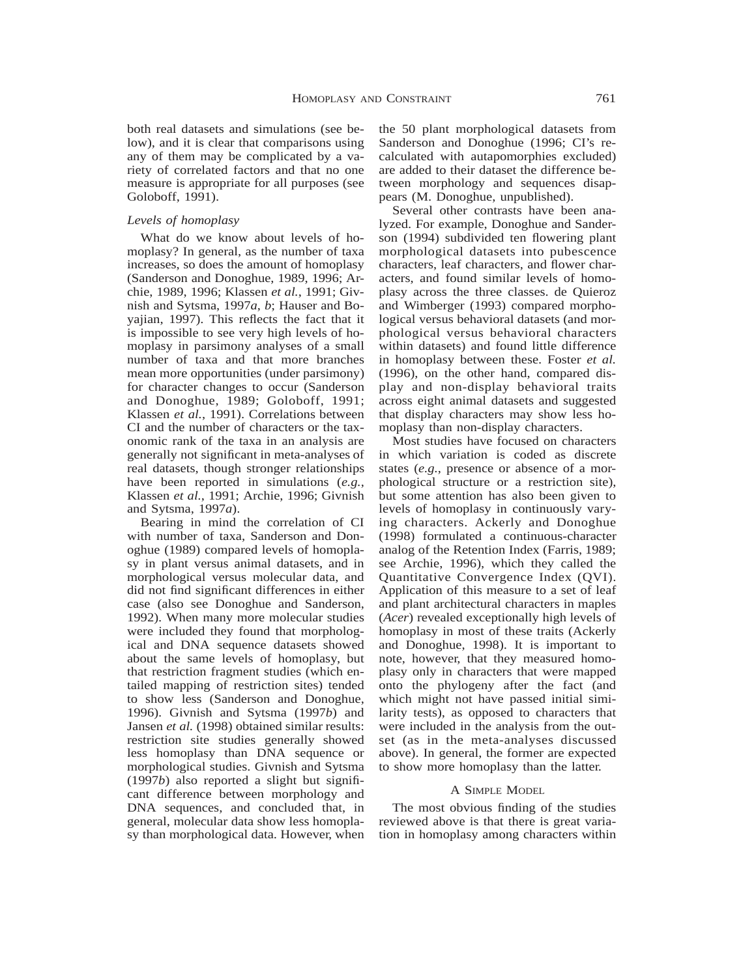both real datasets and simulations (see below), and it is clear that comparisons using any of them may be complicated by a variety of correlated factors and that no one measure is appropriate for all purposes (see Goloboff, 1991).

## *Levels of homoplasy*

What do we know about levels of homoplasy? In general, as the number of taxa increases, so does the amount of homoplasy (Sanderson and Donoghue, 1989, 1996; Archie, 1989, 1996; Klassen *et al.*, 1991; Givnish and Sytsma, 1997*a*, *b*; Hauser and Boyajian, 1997). This reflects the fact that it is impossible to see very high levels of homoplasy in parsimony analyses of a small number of taxa and that more branches mean more opportunities (under parsimony) for character changes to occur (Sanderson and Donoghue, 1989; Goloboff, 1991; Klassen *et al.*, 1991). Correlations between CI and the number of characters or the taxonomic rank of the taxa in an analysis are generally not significant in meta-analyses of real datasets, though stronger relationships have been reported in simulations (*e.g.*, Klassen *et al.*, 1991; Archie, 1996; Givnish and Sytsma, 1997*a*).

Bearing in mind the correlation of CI with number of taxa, Sanderson and Donoghue (1989) compared levels of homoplasy in plant versus animal datasets, and in morphological versus molecular data, and did not find significant differences in either case (also see Donoghue and Sanderson, 1992). When many more molecular studies were included they found that morphological and DNA sequence datasets showed about the same levels of homoplasy, but that restriction fragment studies (which entailed mapping of restriction sites) tended to show less (Sanderson and Donoghue, 1996). Givnish and Sytsma (1997*b*) and Jansen *et al.* (1998) obtained similar results: restriction site studies generally showed less homoplasy than DNA sequence or morphological studies. Givnish and Sytsma (1997*b*) also reported a slight but significant difference between morphology and DNA sequences, and concluded that, in general, molecular data show less homoplasy than morphological data. However, when

the 50 plant morphological datasets from Sanderson and Donoghue (1996; CI's recalculated with autapomorphies excluded) are added to their dataset the difference between morphology and sequences disappears (M. Donoghue, unpublished).

Several other contrasts have been analyzed. For example, Donoghue and Sanderson (1994) subdivided ten flowering plant morphological datasets into pubescence characters, leaf characters, and flower characters, and found similar levels of homoplasy across the three classes. de Quieroz and Wimberger (1993) compared morphological versus behavioral datasets (and morphological versus behavioral characters within datasets) and found little difference in homoplasy between these. Foster *et al.* (1996), on the other hand, compared display and non-display behavioral traits across eight animal datasets and suggested that display characters may show less homoplasy than non-display characters.

Most studies have focused on characters in which variation is coded as discrete states (*e.g.*, presence or absence of a morphological structure or a restriction site), but some attention has also been given to levels of homoplasy in continuously varying characters. Ackerly and Donoghue (1998) formulated a continuous-character analog of the Retention Index (Farris, 1989; see Archie, 1996), which they called the Quantitative Convergence Index (QVI). Application of this measure to a set of leaf and plant architectural characters in maples (*Acer*) revealed exceptionally high levels of homoplasy in most of these traits (Ackerly and Donoghue, 1998). It is important to note, however, that they measured homoplasy only in characters that were mapped onto the phylogeny after the fact (and which might not have passed initial similarity tests), as opposed to characters that were included in the analysis from the outset (as in the meta-analyses discussed above). In general, the former are expected to show more homoplasy than the latter.

### A SIMPLE MODEL

The most obvious finding of the studies reviewed above is that there is great variation in homoplasy among characters within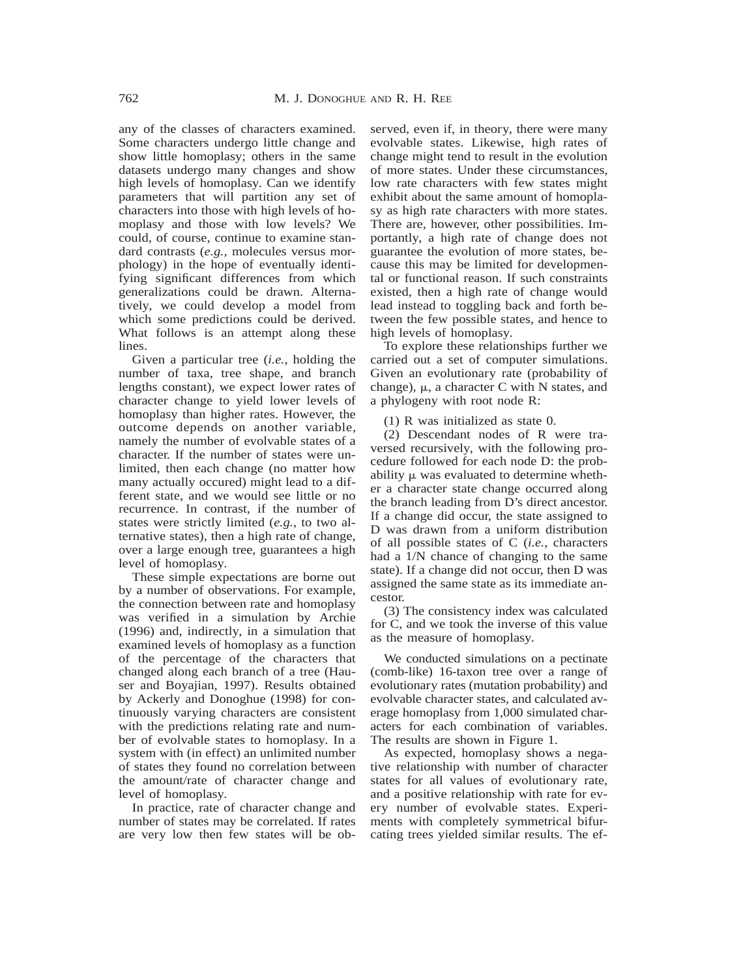any of the classes of characters examined. Some characters undergo little change and show little homoplasy; others in the same datasets undergo many changes and show high levels of homoplasy. Can we identify parameters that will partition any set of characters into those with high levels of homoplasy and those with low levels? We could, of course, continue to examine standard contrasts (*e.g.*, molecules versus morphology) in the hope of eventually identifying significant differences from which generalizations could be drawn. Alternatively, we could develop a model from which some predictions could be derived. What follows is an attempt along these lines.

Given a particular tree (*i.e.*, holding the number of taxa, tree shape, and branch lengths constant), we expect lower rates of character change to yield lower levels of homoplasy than higher rates. However, the outcome depends on another variable, namely the number of evolvable states of a character. If the number of states were unlimited, then each change (no matter how many actually occured) might lead to a different state, and we would see little or no recurrence. In contrast, if the number of states were strictly limited (*e.g.*, to two alternative states), then a high rate of change, over a large enough tree, guarantees a high level of homoplasy.

These simple expectations are borne out by a number of observations. For example, the connection between rate and homoplasy was verified in a simulation by Archie (1996) and, indirectly, in a simulation that examined levels of homoplasy as a function of the percentage of the characters that changed along each branch of a tree (Hauser and Boyajian, 1997). Results obtained by Ackerly and Donoghue (1998) for continuously varying characters are consistent with the predictions relating rate and number of evolvable states to homoplasy. In a system with (in effect) an unlimited number of states they found no correlation between the amount/rate of character change and level of homoplasy.

In practice, rate of character change and number of states may be correlated. If rates are very low then few states will be ob-

served, even if, in theory, there were many evolvable states. Likewise, high rates of change might tend to result in the evolution of more states. Under these circumstances, low rate characters with few states might exhibit about the same amount of homoplasy as high rate characters with more states. There are, however, other possibilities. Importantly, a high rate of change does not guarantee the evolution of more states, because this may be limited for developmental or functional reason. If such constraints existed, then a high rate of change would lead instead to toggling back and forth between the few possible states, and hence to high levels of homoplasy.

To explore these relationships further we carried out a set of computer simulations. Given an evolutionary rate (probability of change),  $\mu$ , a character C with N states, and a phylogeny with root node R:

(1) R was initialized as state 0.

(2) Descendant nodes of R were traversed recursively, with the following procedure followed for each node D: the probability  $\mu$  was evaluated to determine whether a character state change occurred along the branch leading from D's direct ancestor. If a change did occur, the state assigned to D was drawn from a uniform distribution of all possible states of C (*i.e.*, characters had a 1/N chance of changing to the same state). If a change did not occur, then D was assigned the same state as its immediate ancestor.

(3) The consistency index was calculated for C, and we took the inverse of this value as the measure of homoplasy.

We conducted simulations on a pectinate (comb-like) 16-taxon tree over a range of evolutionary rates (mutation probability) and evolvable character states, and calculated average homoplasy from 1,000 simulated characters for each combination of variables. The results are shown in Figure 1.

As expected, homoplasy shows a negative relationship with number of character states for all values of evolutionary rate, and a positive relationship with rate for every number of evolvable states. Experiments with completely symmetrical bifurcating trees yielded similar results. The ef-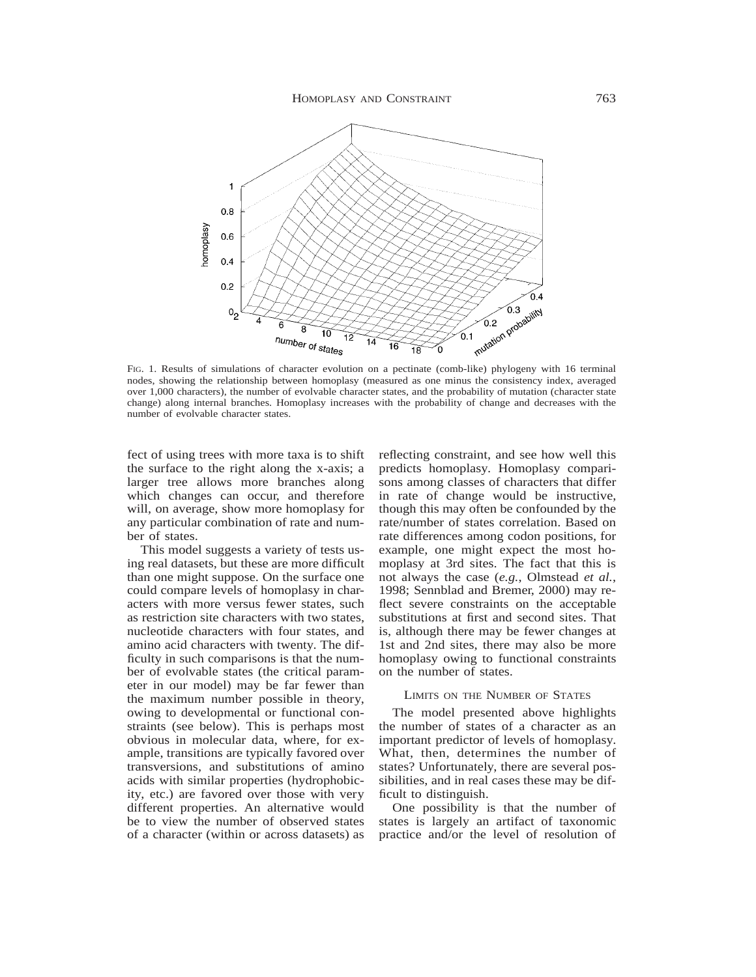

FIG. 1. Results of simulations of character evolution on a pectinate (comb-like) phylogeny with 16 terminal nodes, showing the relationship between homoplasy (measured as one minus the consistency index, averaged over 1,000 characters), the number of evolvable character states, and the probability of mutation (character state change) along internal branches. Homoplasy increases with the probability of change and decreases with the number of evolvable character states.

fect of using trees with more taxa is to shift the surface to the right along the x-axis; a larger tree allows more branches along which changes can occur, and therefore will, on average, show more homoplasy for any particular combination of rate and number of states.

This model suggests a variety of tests using real datasets, but these are more difficult than one might suppose. On the surface one could compare levels of homoplasy in characters with more versus fewer states, such as restriction site characters with two states, nucleotide characters with four states, and amino acid characters with twenty. The difficulty in such comparisons is that the number of evolvable states (the critical parameter in our model) may be far fewer than the maximum number possible in theory, owing to developmental or functional constraints (see below). This is perhaps most obvious in molecular data, where, for example, transitions are typically favored over transversions, and substitutions of amino acids with similar properties (hydrophobicity, etc.) are favored over those with very different properties. An alternative would be to view the number of observed states of a character (within or across datasets) as reflecting constraint, and see how well this predicts homoplasy. Homoplasy comparisons among classes of characters that differ in rate of change would be instructive, though this may often be confounded by the rate/number of states correlation. Based on rate differences among codon positions, for example, one might expect the most homoplasy at 3rd sites. The fact that this is not always the case (*e.g.*, Olmstead *et al.*, 1998; Sennblad and Bremer, 2000) may reflect severe constraints on the acceptable substitutions at first and second sites. That is, although there may be fewer changes at 1st and 2nd sites, there may also be more homoplasy owing to functional constraints on the number of states.

## LIMITS ON THE NUMBER OF STATES

The model presented above highlights the number of states of a character as an important predictor of levels of homoplasy. What, then, determines the number of states? Unfortunately, there are several possibilities, and in real cases these may be difficult to distinguish.

One possibility is that the number of states is largely an artifact of taxonomic practice and/or the level of resolution of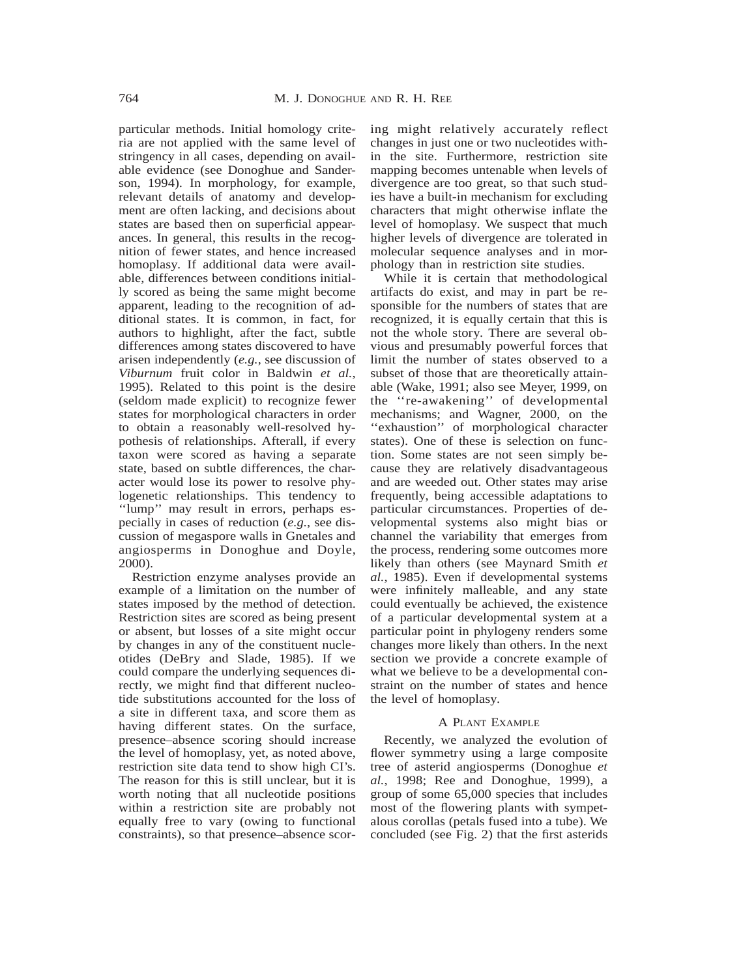particular methods. Initial homology criteria are not applied with the same level of stringency in all cases, depending on available evidence (see Donoghue and Sanderson, 1994). In morphology, for example, relevant details of anatomy and development are often lacking, and decisions about states are based then on superficial appearances. In general, this results in the recognition of fewer states, and hence increased homoplasy. If additional data were available, differences between conditions initially scored as being the same might become apparent, leading to the recognition of additional states. It is common, in fact, for authors to highlight, after the fact, subtle differences among states discovered to have arisen independently (*e.g.*, see discussion of *Viburnum* fruit color in Baldwin *et al.*, 1995). Related to this point is the desire (seldom made explicit) to recognize fewer states for morphological characters in order to obtain a reasonably well-resolved hypothesis of relationships. Afterall, if every taxon were scored as having a separate state, based on subtle differences, the character would lose its power to resolve phylogenetic relationships. This tendency to ''lump'' may result in errors, perhaps especially in cases of reduction (*e.g.*, see discussion of megaspore walls in Gnetales and angiosperms in Donoghue and Doyle, 2000).

Restriction enzyme analyses provide an example of a limitation on the number of states imposed by the method of detection. Restriction sites are scored as being present or absent, but losses of a site might occur by changes in any of the constituent nucleotides (DeBry and Slade, 1985). If we could compare the underlying sequences directly, we might find that different nucleotide substitutions accounted for the loss of a site in different taxa, and score them as having different states. On the surface, presence–absence scoring should increase the level of homoplasy, yet, as noted above, restriction site data tend to show high CI's. The reason for this is still unclear, but it is worth noting that all nucleotide positions within a restriction site are probably not equally free to vary (owing to functional constraints), so that presence–absence scor-

ing might relatively accurately reflect changes in just one or two nucleotides within the site. Furthermore, restriction site mapping becomes untenable when levels of divergence are too great, so that such studies have a built-in mechanism for excluding characters that might otherwise inflate the level of homoplasy. We suspect that much higher levels of divergence are tolerated in molecular sequence analyses and in morphology than in restriction site studies.

While it is certain that methodological artifacts do exist, and may in part be responsible for the numbers of states that are recognized, it is equally certain that this is not the whole story. There are several obvious and presumably powerful forces that limit the number of states observed to a subset of those that are theoretically attainable (Wake, 1991; also see Meyer, 1999, on the ''re-awakening'' of developmental mechanisms; and Wagner, 2000, on the "exhaustion" of morphological character states). One of these is selection on function. Some states are not seen simply because they are relatively disadvantageous and are weeded out. Other states may arise frequently, being accessible adaptations to particular circumstances. Properties of developmental systems also might bias or channel the variability that emerges from the process, rendering some outcomes more likely than others (see Maynard Smith *et al.*, 1985). Even if developmental systems were infinitely malleable, and any state could eventually be achieved, the existence of a particular developmental system at a particular point in phylogeny renders some changes more likely than others. In the next section we provide a concrete example of what we believe to be a developmental constraint on the number of states and hence the level of homoplasy.

## A PLANT EXAMPLE

Recently, we analyzed the evolution of flower symmetry using a large composite tree of asterid angiosperms (Donoghue *et al.*, 1998; Ree and Donoghue, 1999), a group of some 65,000 species that includes most of the flowering plants with sympetalous corollas (petals fused into a tube). We concluded (see Fig. 2) that the first asterids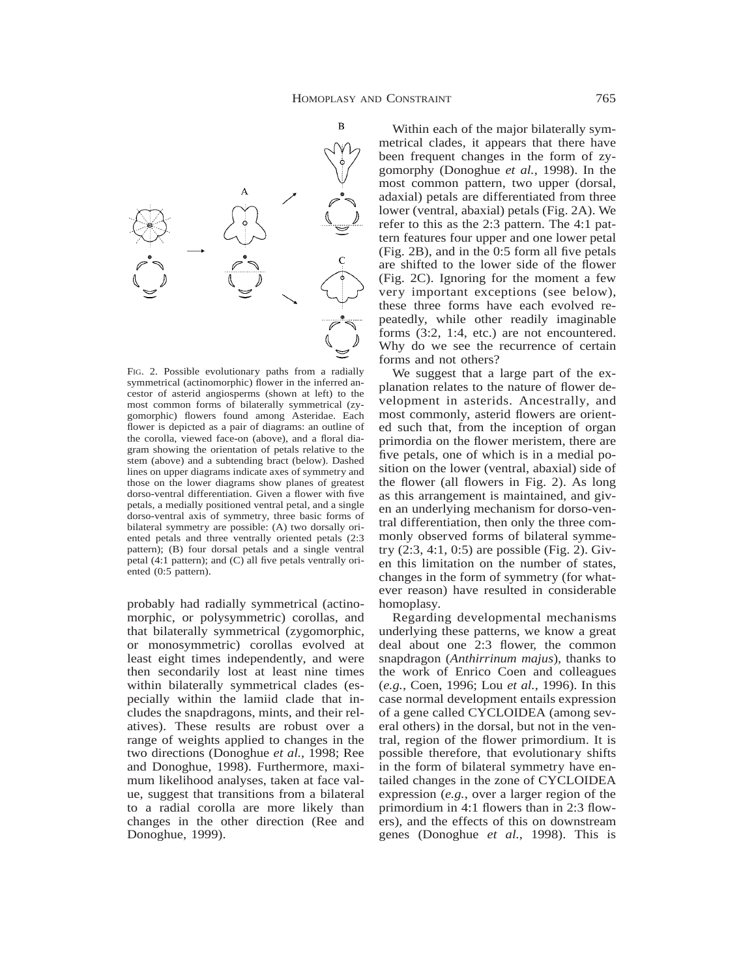

FIG. 2. Possible evolutionary paths from a radially symmetrical (actinomorphic) flower in the inferred ancestor of asterid angiosperms (shown at left) to the most common forms of bilaterally symmetrical (zygomorphic) flowers found among Asteridae. Each flower is depicted as a pair of diagrams: an outline of the corolla, viewed face-on (above), and a floral diagram showing the orientation of petals relative to the stem (above) and a subtending bract (below). Dashed lines on upper diagrams indicate axes of symmetry and those on the lower diagrams show planes of greatest dorso-ventral differentiation. Given a flower with five petals, a medially positioned ventral petal, and a single dorso-ventral axis of symmetry, three basic forms of bilateral symmetry are possible: (A) two dorsally oriented petals and three ventrally oriented petals (2:3 pattern); (B) four dorsal petals and a single ventral petal (4:1 pattern); and (C) all five petals ventrally oriented (0:5 pattern).

probably had radially symmetrical (actinomorphic, or polysymmetric) corollas, and that bilaterally symmetrical (zygomorphic, or monosymmetric) corollas evolved at least eight times independently, and were then secondarily lost at least nine times within bilaterally symmetrical clades (especially within the lamiid clade that includes the snapdragons, mints, and their relatives). These results are robust over a range of weights applied to changes in the two directions (Donoghue *et al.*, 1998; Ree and Donoghue, 1998). Furthermore, maximum likelihood analyses, taken at face value, suggest that transitions from a bilateral to a radial corolla are more likely than changes in the other direction (Ree and Donoghue, 1999).

Within each of the major bilaterally symmetrical clades, it appears that there have been frequent changes in the form of zygomorphy (Donoghue *et al.*, 1998). In the most common pattern, two upper (dorsal, adaxial) petals are differentiated from three lower (ventral, abaxial) petals (Fig. 2A). We refer to this as the 2:3 pattern. The 4:1 pattern features four upper and one lower petal (Fig. 2B), and in the 0:5 form all five petals are shifted to the lower side of the flower (Fig. 2C). Ignoring for the moment a few very important exceptions (see below), these three forms have each evolved repeatedly, while other readily imaginable forms (3:2, 1:4, etc.) are not encountered. Why do we see the recurrence of certain forms and not others?

We suggest that a large part of the explanation relates to the nature of flower development in asterids. Ancestrally, and most commonly, asterid flowers are oriented such that, from the inception of organ primordia on the flower meristem, there are five petals, one of which is in a medial position on the lower (ventral, abaxial) side of the flower (all flowers in Fig. 2). As long as this arrangement is maintained, and given an underlying mechanism for dorso-ventral differentiation, then only the three commonly observed forms of bilateral symmetry (2:3, 4:1, 0:5) are possible (Fig. 2). Given this limitation on the number of states, changes in the form of symmetry (for whatever reason) have resulted in considerable homoplasy.

Regarding developmental mechanisms underlying these patterns, we know a great deal about one 2:3 flower, the common snapdragon (*Anthirrinum majus*), thanks to the work of Enrico Coen and colleagues (*e.g.*, Coen, 1996; Lou *et al.*, 1996). In this case normal development entails expression of a gene called CYCLOIDEA (among several others) in the dorsal, but not in the ventral, region of the flower primordium. It is possible therefore, that evolutionary shifts in the form of bilateral symmetry have entailed changes in the zone of CYCLOIDEA expression (*e.g.*, over a larger region of the primordium in 4:1 flowers than in 2:3 flowers), and the effects of this on downstream genes (Donoghue *et al.*, 1998). This is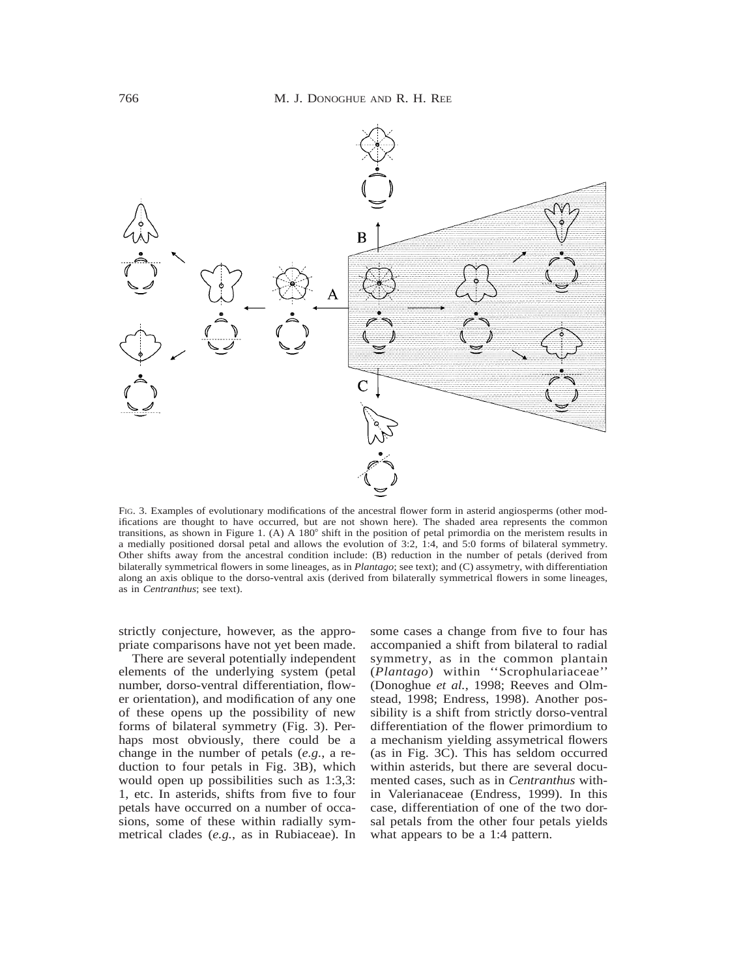

FIG. 3. Examples of evolutionary modifications of the ancestral flower form in asterid angiosperms (other modifications are thought to have occurred, but are not shown here). The shaded area represents the common transitions, as shown in Figure 1. (A) A  $180^\circ$  shift in the position of petal primordia on the meristem results in a medially positioned dorsal petal and allows the evolution of 3:2, 1:4, and 5:0 forms of bilateral symmetry. Other shifts away from the ancestral condition include: (B) reduction in the number of petals (derived from bilaterally symmetrical flowers in some lineages, as in *Plantago*; see text); and (C) assymetry, with differentiation along an axis oblique to the dorso-ventral axis (derived from bilaterally symmetrical flowers in some lineages, as in *Centranthus*; see text).

strictly conjecture, however, as the appropriate comparisons have not yet been made.

There are several potentially independent elements of the underlying system (petal number, dorso-ventral differentiation, flower orientation), and modification of any one of these opens up the possibility of new forms of bilateral symmetry (Fig. 3). Perhaps most obviously, there could be a change in the number of petals (*e.g.*, a reduction to four petals in Fig. 3B), which would open up possibilities such as 1:3,3: 1, etc. In asterids, shifts from five to four petals have occurred on a number of occasions, some of these within radially symmetrical clades (*e.g.*, as in Rubiaceae). In some cases a change from five to four has accompanied a shift from bilateral to radial symmetry, as in the common plantain (*Plantago*) within ''Scrophulariaceae'' (Donoghue *et al.*, 1998; Reeves and Olmstead, 1998; Endress, 1998). Another possibility is a shift from strictly dorso-ventral differentiation of the flower primordium to a mechanism yielding assymetrical flowers (as in Fig. 3C). This has seldom occurred within asterids, but there are several documented cases, such as in *Centranthus* within Valerianaceae (Endress, 1999). In this case, differentiation of one of the two dorsal petals from the other four petals yields what appears to be a 1:4 pattern.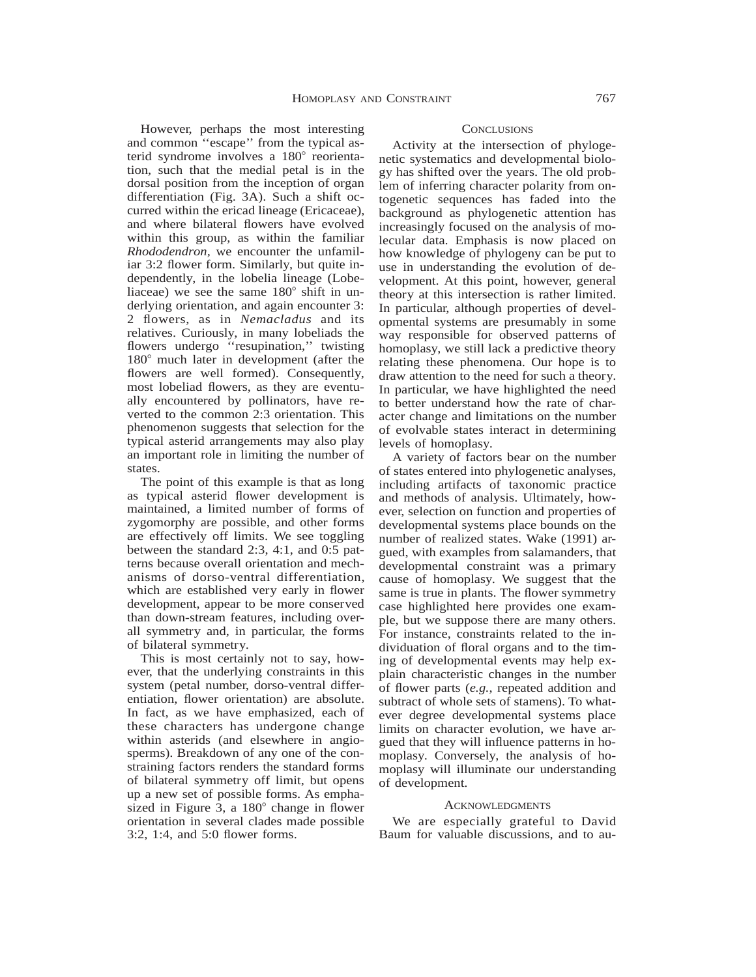However, perhaps the most interesting and common "escape" from the typical asterid syndrome involves a 180° reorientation, such that the medial petal is in the dorsal position from the inception of organ differentiation (Fig. 3A). Such a shift occurred within the ericad lineage (Ericaceae), and where bilateral flowers have evolved within this group, as within the familiar *Rhododendron,* we encounter the unfamiliar 3:2 flower form. Similarly, but quite independently, in the lobelia lineage (Lobeliaceae) we see the same  $180^\circ$  shift in underlying orientation, and again encounter 3: 2 flowers, as in *Nemacladus* and its relatives. Curiously, in many lobeliads the flowers undergo ''resupination,'' twisting 180° much later in development (after the flowers are well formed). Consequently, most lobeliad flowers, as they are eventually encountered by pollinators, have reverted to the common 2:3 orientation. This phenomenon suggests that selection for the typical asterid arrangements may also play an important role in limiting the number of states.

The point of this example is that as long as typical asterid flower development is maintained, a limited number of forms of zygomorphy are possible, and other forms are effectively off limits. We see toggling between the standard 2:3, 4:1, and 0:5 patterns because overall orientation and mechanisms of dorso-ventral differentiation, which are established very early in flower development, appear to be more conserved than down-stream features, including overall symmetry and, in particular, the forms of bilateral symmetry.

This is most certainly not to say, however, that the underlying constraints in this system (petal number, dorso-ventral differentiation, flower orientation) are absolute. In fact, as we have emphasized, each of these characters has undergone change within asterids (and elsewhere in angiosperms). Breakdown of any one of the constraining factors renders the standard forms of bilateral symmetry off limit, but opens up a new set of possible forms. As emphasized in Figure 3, a  $180^\circ$  change in flower orientation in several clades made possible 3:2, 1:4, and 5:0 flower forms.

## **CONCLUSIONS**

Activity at the intersection of phylogenetic systematics and developmental biology has shifted over the years. The old problem of inferring character polarity from ontogenetic sequences has faded into the background as phylogenetic attention has increasingly focused on the analysis of molecular data. Emphasis is now placed on how knowledge of phylogeny can be put to use in understanding the evolution of development. At this point, however, general theory at this intersection is rather limited. In particular, although properties of developmental systems are presumably in some way responsible for observed patterns of homoplasy, we still lack a predictive theory relating these phenomena. Our hope is to draw attention to the need for such a theory. In particular, we have highlighted the need to better understand how the rate of character change and limitations on the number of evolvable states interact in determining levels of homoplasy.

A variety of factors bear on the number of states entered into phylogenetic analyses, including artifacts of taxonomic practice and methods of analysis. Ultimately, however, selection on function and properties of developmental systems place bounds on the number of realized states. Wake (1991) argued, with examples from salamanders, that developmental constraint was a primary cause of homoplasy. We suggest that the same is true in plants. The flower symmetry case highlighted here provides one example, but we suppose there are many others. For instance, constraints related to the individuation of floral organs and to the timing of developmental events may help explain characteristic changes in the number of flower parts (*e.g.*, repeated addition and subtract of whole sets of stamens). To whatever degree developmental systems place limits on character evolution, we have argued that they will influence patterns in homoplasy. Conversely, the analysis of homoplasy will illuminate our understanding of development.

### ACKNOWLEDGMENTS

We are especially grateful to David Baum for valuable discussions, and to au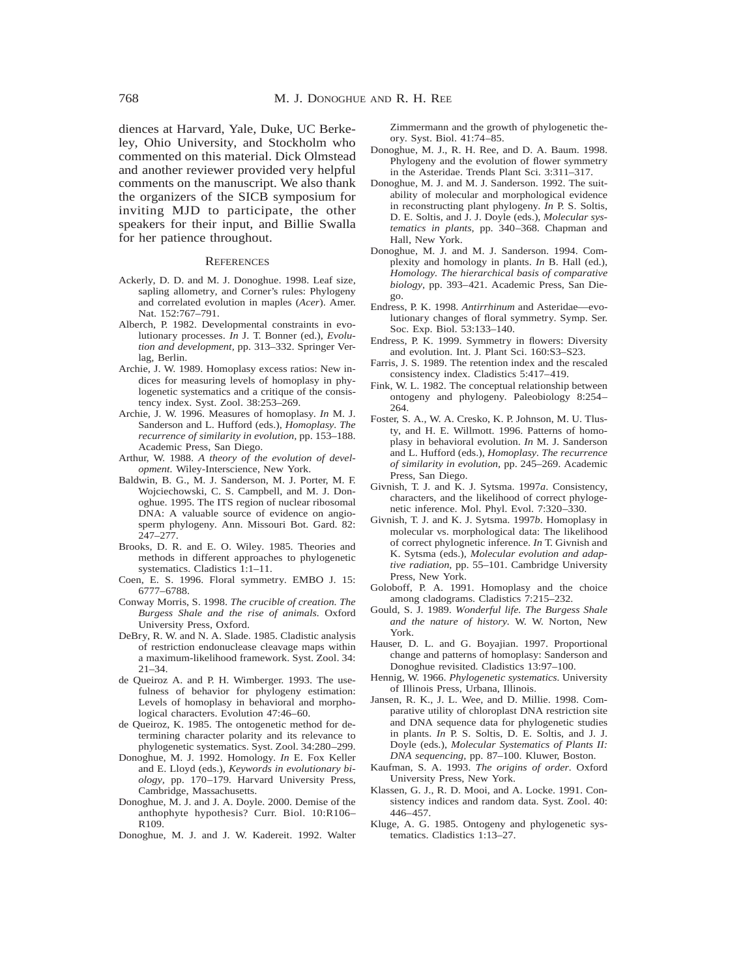diences at Harvard, Yale, Duke, UC Berkeley, Ohio University, and Stockholm who commented on this material. Dick Olmstead and another reviewer provided very helpful comments on the manuscript. We also thank the organizers of the SICB symposium for inviting MJD to participate, the other speakers for their input, and Billie Swalla for her patience throughout.

#### **REFERENCES**

- Ackerly, D. D. and M. J. Donoghue. 1998. Leaf size, sapling allometry, and Corner's rules: Phylogeny and correlated evolution in maples (*Acer*). Amer. Nat. 152:767–791.
- Alberch, P. 1982. Developmental constraints in evolutionary processes. *In* J. T. Bonner (ed.), *Evolution and development,* pp. 313–332. Springer Verlag, Berlin.
- Archie, J. W. 1989. Homoplasy excess ratios: New indices for measuring levels of homoplasy in phylogenetic systematics and a critique of the consistency index. Syst. Zool. 38:253–269.
- Archie, J. W. 1996. Measures of homoplasy. *In* M. J. Sanderson and L. Hufford (eds.), *Homoplasy. The recurrence of similarity in evolution,* pp. 153–188. Academic Press, San Diego.
- Arthur, W. 1988. *A theory of the evolution of development.* Wiley-Interscience, New York.
- Baldwin, B. G., M. J. Sanderson, M. J. Porter, M. F. Wojciechowski, C. S. Campbell, and M. J. Donoghue. 1995. The ITS region of nuclear ribosomal DNA: A valuable source of evidence on angiosperm phylogeny. Ann. Missouri Bot. Gard. 82: 247–277.
- Brooks, D. R. and E. O. Wiley. 1985. Theories and methods in different approaches to phylogenetic systematics. Cladistics 1:1–11.
- Coen, E. S. 1996. Floral symmetry. EMBO J. 15: 6777–6788.
- Conway Morris, S. 1998. *The crucible of creation. The Burgess Shale and the rise of animals.* Oxford University Press, Oxford.
- DeBry, R. W. and N. A. Slade. 1985. Cladistic analysis of restriction endonuclease cleavage maps within a maximum-likelihood framework. Syst. Zool. 34: 21–34.
- de Queiroz A. and P. H. Wimberger. 1993. The usefulness of behavior for phylogeny estimation: Levels of homoplasy in behavioral and morphological characters. Evolution 47:46–60.
- de Queiroz, K. 1985. The ontogenetic method for determining character polarity and its relevance to phylogenetic systematics. Syst. Zool. 34:280–299.
- Donoghue, M. J. 1992. Homology. *In* E. Fox Keller and E. Lloyd (eds.), *Keywords in evolutionary biology,* pp. 170–179. Harvard University Press, Cambridge, Massachusetts.
- Donoghue, M. J. and J. A. Doyle. 2000. Demise of the anthophyte hypothesis? Curr. Biol. 10:R106– R109.
- Donoghue, M. J. and J. W. Kadereit. 1992. Walter

Zimmermann and the growth of phylogenetic theory. Syst. Biol. 41:74–85.

- Donoghue, M. J., R. H. Ree, and D. A. Baum. 1998. Phylogeny and the evolution of flower symmetry in the Asteridae. Trends Plant Sci. 3:311–317.
- Donoghue, M. J. and M. J. Sanderson. 1992. The suitability of molecular and morphological evidence in reconstructing plant phylogeny. *In* P. S. Soltis, D. E. Soltis, and J. J. Doyle (eds.), *Molecular systematics in plants,* pp. 340–368. Chapman and Hall, New York.
- Donoghue, M. J. and M. J. Sanderson. 1994. Complexity and homology in plants. *In* B. Hall (ed.), *Homology. The hierarchical basis of comparative biology,* pp. 393–421. Academic Press, San Diego.
- Endress, P. K. 1998. *Antirrhinum* and Asteridae—evolutionary changes of floral symmetry. Symp. Ser. Soc. Exp. Biol. 53:133–140.
- Endress, P. K. 1999. Symmetry in flowers: Diversity and evolution. Int. J. Plant Sci. 160:S3–S23.
- Farris, J. S. 1989. The retention index and the rescaled consistency index. Cladistics 5:417–419.
- Fink, W. L. 1982. The conceptual relationship between ontogeny and phylogeny. Paleobiology 8:254– 264.
- Foster, S. A., W. A. Cresko, K. P. Johnson, M. U. Tlusty, and H. E. Willmott. 1996. Patterns of homoplasy in behavioral evolution. *In* M. J. Sanderson and L. Hufford (eds.), *Homoplasy. The recurrence of similarity in evolution,* pp. 245–269. Academic Press, San Diego.
- Givnish, T. J. and K. J. Sytsma. 1997*a*. Consistency, characters, and the likelihood of correct phylogenetic inference. Mol. Phyl. Evol. 7:320–330.
- Givnish, T. J. and K. J. Sytsma. 1997*b*. Homoplasy in molecular vs. morphological data: The likelihood of correct phylognetic inference. *In* T. Givnish and K. Sytsma (eds.), *Molecular evolution and adaptive radiation,* pp. 55–101. Cambridge University Press, New York.
- Goloboff, P. A. 1991. Homoplasy and the choice among cladograms. Cladistics 7:215–232.
- Gould, S. J. 1989. *Wonderful life. The Burgess Shale and the nature of history.* W. W. Norton, New York.
- Hauser, D. L. and G. Boyajian. 1997. Proportional change and patterns of homoplasy: Sanderson and Donoghue revisited. Cladistics 13:97–100.
- Hennig, W. 1966. *Phylogenetic systematics.* University of Illinois Press, Urbana, Illinois.
- Jansen, R. K., J. L. Wee, and D. Millie. 1998. Comparative utility of chloroplast DNA restriction site and DNA sequence data for phylogenetic studies in plants. *In* P. S. Soltis, D. E. Soltis, and J. J. Doyle (eds.), *Molecular Systematics of Plants II: DNA sequencing,* pp. 87–100. Kluwer, Boston.
- Kaufman, S. A. 1993. *The origins of order.* Oxford University Press, New York.
- Klassen, G. J., R. D. Mooi, and A. Locke. 1991. Consistency indices and random data. Syst. Zool. 40: 446–457.
- Kluge, A. G. 1985. Ontogeny and phylogenetic systematics. Cladistics 1:13–27.